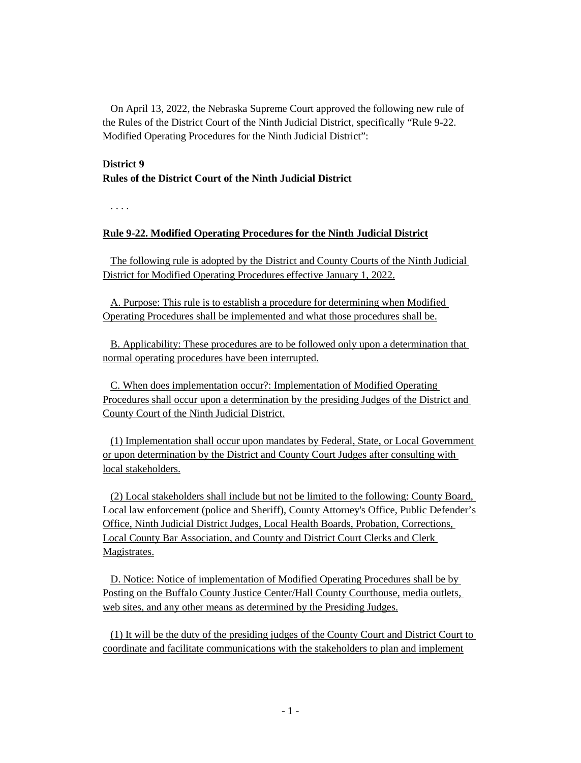On April 13, 2022, the Nebraska Supreme Court approved the following new rule of the Rules of the District Court of the Ninth Judicial District, specifically "Rule 9-22. Modified Operating Procedures for the Ninth Judicial District":

## **District 9**

# **Rules of the District Court of the Ninth Judicial District**

. . . .

# **Rule 9-22. Modified Operating Procedures for the Ninth Judicial District**

The following rule is adopted by the District and County Courts of the Ninth Judicial District for Modified Operating Procedures effective January 1, 2022.

A. Purpose: This rule is to establish a procedure for determining when Modified Operating Procedures shall be implemented and what those procedures shall be.

B. Applicability: These procedures are to be followed only upon a determination that normal operating procedures have been interrupted.

C. When does implementation occur?: Implementation of Modified Operating Procedures shall occur upon a determination by the presiding Judges of the District and County Court of the Ninth Judicial District.

(1) Implementation shall occur upon mandates by Federal, State, or Local Government or upon determination by the District and County Court Judges after consulting with local stakeholders.

(2) Local stakeholders shall include but not be limited to the following: County Board, Local law enforcement (police and Sheriff), County Attorney's Office, Public Defender's Office, Ninth Judicial District Judges, Local Health Boards, Probation, Corrections, Local County Bar Association, and County and District Court Clerks and Clerk Magistrates.

D. Notice: Notice of implementation of Modified Operating Procedures shall be by Posting on the Buffalo County Justice Center/Hall County Courthouse, media outlets, web sites, and any other means as determined by the Presiding Judges.

(1) It will be the duty of the presiding judges of the County Court and District Court to coordinate and facilitate communications with the stakeholders to plan and implement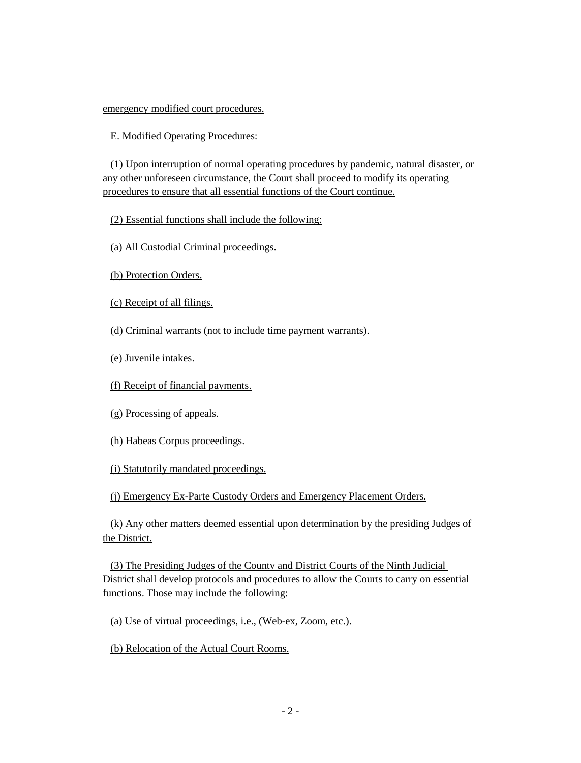## emergency modified court procedures.

# E. Modified Operating Procedures:

(1) Upon interruption of normal operating procedures by pandemic, natural disaster, or any other unforeseen circumstance, the Court shall proceed to modify its operating procedures to ensure that all essential functions of the Court continue.

(2) Essential functions shall include the following:

(a) All Custodial Criminal proceedings.

(b) Protection Orders.

(c) Receipt of all filings.

(d) Criminal warrants (not to include time payment warrants).

(e) Juvenile intakes.

(f) Receipt of financial payments.

(g) Processing of appeals.

(h) Habeas Corpus proceedings.

(i) Statutorily mandated proceedings.

(j) Emergency Ex-Parte Custody Orders and Emergency Placement Orders.

(k) Any other matters deemed essential upon determination by the presiding Judges of the District.

(3) The Presiding Judges of the County and District Courts of the Ninth Judicial District shall develop protocols and procedures to allow the Courts to carry on essential functions. Those may include the following:

(a) Use of virtual proceedings, i.e., (Web-ex, Zoom, etc.).

(b) Relocation of the Actual Court Rooms.